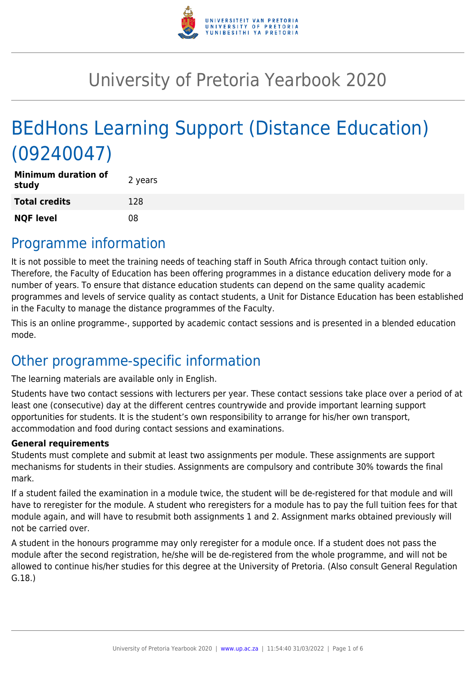

# University of Pretoria Yearbook 2020

# BEdHons Learning Support (Distance Education) (09240047)

| <b>Minimum duration of</b><br>study | 2 years |
|-------------------------------------|---------|
| <b>Total credits</b>                | 128     |
| <b>NQF level</b>                    | 08      |

### Programme information

It is not possible to meet the training needs of teaching staff in South Africa through contact tuition only. Therefore, the Faculty of Education has been offering programmes in a distance education delivery mode for a number of years. To ensure that distance education students can depend on the same quality academic programmes and levels of service quality as contact students, a Unit for Distance Education has been established in the Faculty to manage the distance programmes of the Faculty.

This is an online programme-, supported by academic contact sessions and is presented in a blended education mode.

### Other programme-specific information

The learning materials are available only in English.

Students have two contact sessions with lecturers per year. These contact sessions take place over a period of at least one (consecutive) day at the different centres countrywide and provide important learning support opportunities for students. It is the student's own responsibility to arrange for his/her own transport, accommodation and food during contact sessions and examinations.

#### **General requirements**

Students must complete and submit at least two assignments per module. These assignments are support mechanisms for students in their studies. Assignments are compulsory and contribute 30% towards the final mark.

If a student failed the examination in a module twice, the student will be de-registered for that module and will have to reregister for the module. A student who reregisters for a module has to pay the full tuition fees for that module again, and will have to resubmit both assignments 1 and 2. Assignment marks obtained previously will not be carried over.

A student in the honours programme may only reregister for a module once. If a student does not pass the module after the second registration, he/she will be de-registered from the whole programme, and will not be allowed to continue his/her studies for this degree at the University of Pretoria. (Also consult General Regulation G.18.)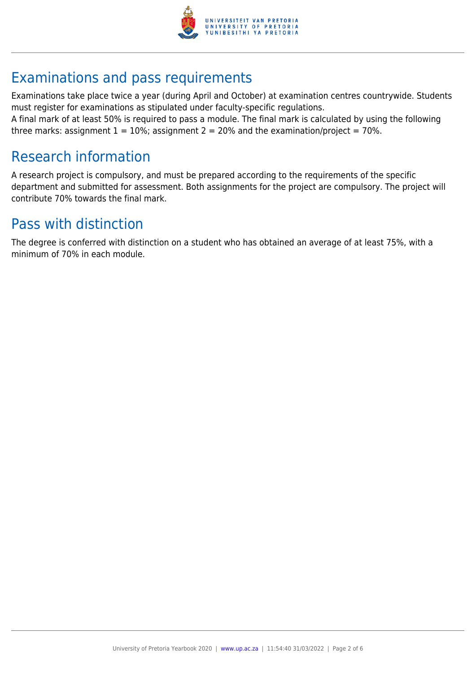

## Examinations and pass requirements

Examinations take place twice a year (during April and October) at examination centres countrywide. Students must register for examinations as stipulated under faculty-specific regulations.

A final mark of at least 50% is required to pass a module. The final mark is calculated by using the following three marks: assignment  $1 = 10\%$ ; assignment  $2 = 20\%$  and the examination/project = 70%.

### Research information

A research project is compulsory, and must be prepared according to the requirements of the specific department and submitted for assessment. Both assignments for the project are compulsory. The project will contribute 70% towards the final mark.

### Pass with distinction

The degree is conferred with distinction on a student who has obtained an average of at least 75%, with a minimum of 70% in each module.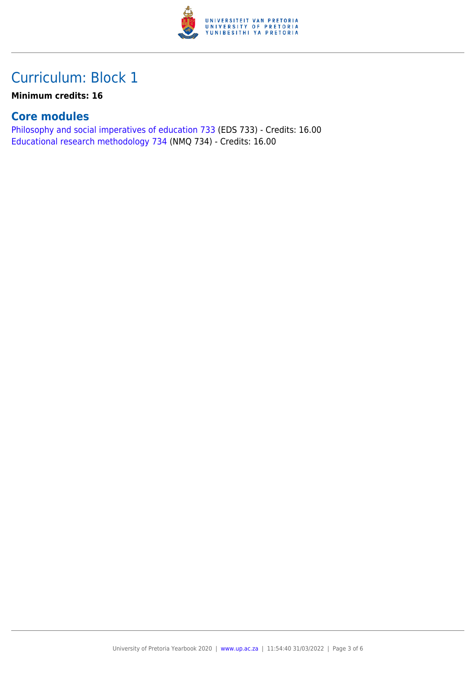

**Minimum credits: 16**

#### **Core modules**

[Philosophy and social imperatives of education 733](https://www.up.ac.za/yearbooks/2020/modules/view/EDS 733) (EDS 733) - Credits: 16.00 [Educational research methodology 734](https://www.up.ac.za/yearbooks/2020/modules/view/NMQ 734) (NMQ 734) - Credits: 16.00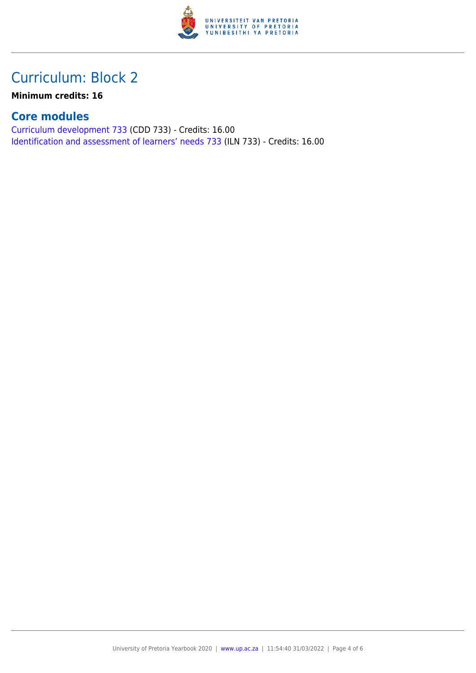

**Minimum credits: 16**

### **Core modules**

[Curriculum development 733](https://www.up.ac.za/yearbooks/2020/modules/view/CDD 733) (CDD 733) - Credits: 16.00 [Identification and assessment of learners' needs 733](https://www.up.ac.za/yearbooks/2020/modules/view/ILN 733) (ILN 733) - Credits: 16.00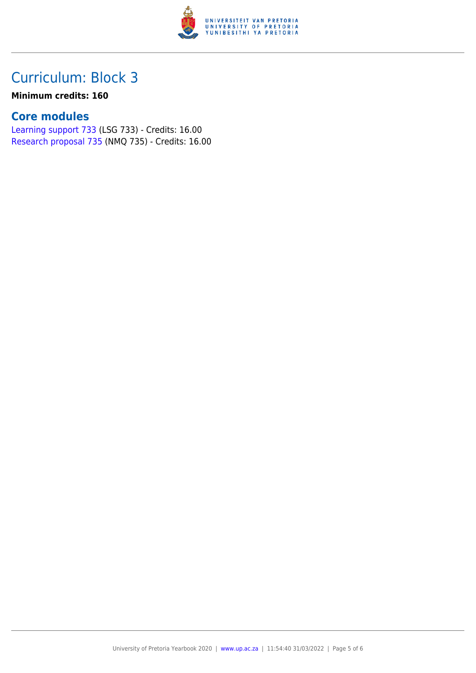

#### **Minimum credits: 160**

#### **Core modules**

[Learning support 733](https://www.up.ac.za/yearbooks/2020/modules/view/LSG 733) (LSG 733) - Credits: 16.00 [Research proposal 735](https://www.up.ac.za/yearbooks/2020/modules/view/NMQ 735) (NMQ 735) - Credits: 16.00